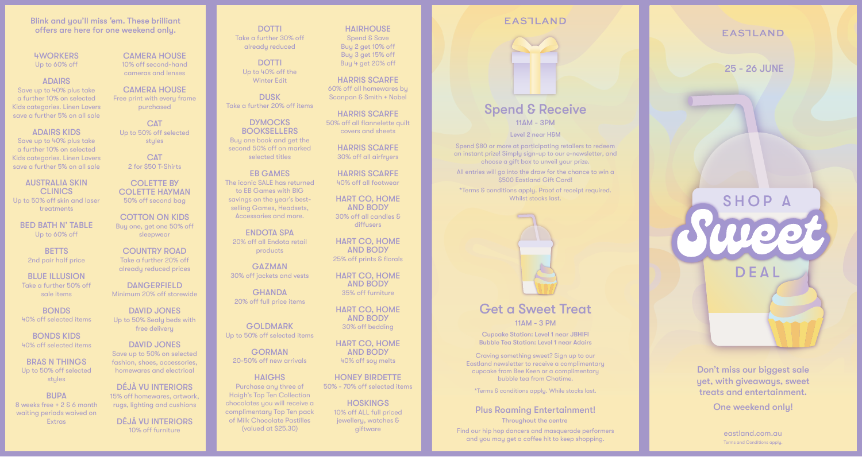## Blink and you'll miss 'em. These brilliant offers are here for one weekend only.

## 4WORKERS Up to 60% off

**ADAIRS** Save up to 40% plus take

a further 10% on selected Kids categories. Linen Lovers save a further 5% on all sale

ADAIRS KIDS Save up to 40% plus take a further 10% on selected Kids categories. Linen Lovers

save a further 5% on all sale AUSTRALIA SKIN

**CLINICS** Up to 50% off skin and laser treatments

BED BATH N' TABLE Up to 60% off

**BETTS** 2nd pair half price

BLUE ILLUSION Take a further 50% off sale items

**BONDS** 40% off selected items

BONDS KIDS 40% off selected items

BRAS N THINGS Up to 50% off selected stules

**BUPA** 8 weeks free + 2 & 6 month waiting periods waived on **Extras** 

CAMERA HOUSE 10% off second-hand

cameras and lenses

CAMERA HOUSE Free print with every frame purchased

**CAT** Up to 50% off selected stules

> **CAT** 2 for \$50 T-Shirts

COLETTE BY COLETTE HAYMAN 50% off second bag

COTTON ON KIDS Buy one, get one 50% off sleepwear

COUNTRY ROAD Take a further 20% off already reduced prices

**DANGERFIELD** Minimum 20% off storewide

DAVID JONES Up to 50% Sealy beds with free delivery

DAVID JONES Save up to 50% on selected fashion, shoes, accessories, homewares and electrical

DÉJÀ VU INTERIORS 15% off homewares, artwork, rugs, lighting and cushions

DÉJÀ VU INTERIORS

**HAIRHOUSE** Spend & Save Buy 2 get 10% off Buy 3 get 15% off Buy 4 get 20% off

**DOTTI** Take a further 30% off already reduced

**DOTTI** Up to 40% off the Winter Edit

**DUSK** Take a further 20% off items

**DYMOCKS BOOKSELLERS** Buy one book and get the second 50% off on marked selected titles

EB GAMES The iconic SALE has returned to EB Games with BIG savings on the year's bestselling Games, Headsets, Accessories and more.

ENDOTA SPA 20% off all Endota retail products

**GAZMAN** 30% off jackets and vests

**GHANDA** 20% off full price items

GOLDMARK Up to 50% off selected items

GORMAN 20-50% off new arrivals

**HAIGHS** Purchase any three of Haigh's Top Ten Collection chocolates you will receive a complimentary Top Ten pack of Milk Chocolate Pastilles (valued at \$25.30)

HARRIS SCARFE 60% off all homewares by

Scanpan & Smith + Nobel

HARRIS SCARFE 50% off all flannelette quilt covers and sheets

HARRIS SCARFE 30% off all airfryers

HARRIS SCARFE 40% off all footwear

HART CO, HOME AND BODY 30% off all candles & diffusers

HART CO, HOME AND BODY 25% off prints & florals

HART CO, HOME AND BODY 35% off furniture

HART CO, HOME AND BODY

30% off bedding

HART CO, HOME AND BODY 40% off soy melts

HONEY BIRDETTE 50% - 70% off selected items

**HOSKINGS** 10% off ALL full priced jewellery, watches & giftware



Get a Sweet Treat 11AM - 3 PM

Cupcake Station: Level 1 near JBHIFI Bubble Tea Station: Level 1 near Adairs

Craving something sweet? Sign up to our Eastland newsletter to receive a complimentary cupcake from Bee Keen or a complimentary bubble tea from Chatime.

\*Terms & conditions apply. While stocks last.

## Plus Roaming Entertainment!

Throughout the centre

now off furniture the second was detailed at \$25.30) which are gittware the second masquerade performers and masquerade performers and masquerade performers and masquerade performers and masquerade performers and masquerad and you may get a coffee hit to keep shopping.

**EASTLAND** 

25 - 26 JUNE



Don't miss our biggest sale yet, with giveaways, sweet treats and entertainment.

One weekend only!

Terms and Conditions apply.